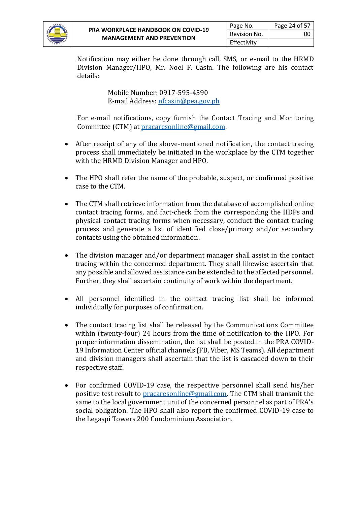

Notification may either be done through call, SMS, or e-mail to the HRMD Division Manager/HPO, Mr. Noel F. Casin. The following are his contact details:

> Mobile Number: 0917-595-4590 E-mail Address[: nfcasin@pea.gov.ph](mailto:nfcasin@pea.gov.ph)

For e-mail notifications, copy furnish the Contact Tracing and Monitoring Committee (CTM) at [pracaresonline@gmail.com.](mailto:pracaresonline@gmail.com)

- After receipt of any of the above-mentioned notification, the contact tracing process shall immediately be initiated in the workplace by the CTM together with the HRMD Division Manager and HPO.
- The HPO shall refer the name of the probable, suspect, or confirmed positive case to the CTM.
- The CTM shall retrieve information from the database of accomplished online contact tracing forms, and fact-check from the corresponding the HDPs and physical contact tracing forms when necessary, conduct the contact tracing process and generate a list of identified close/primary and/or secondary contacts using the obtained information.
- The division manager and/or department manager shall assist in the contact tracing within the concerned department. They shall likewise ascertain that any possible and allowed assistance can be extended to the affected personnel. Further, they shall ascertain continuity of work within the department.
- All personnel identified in the contact tracing list shall be informed individually for purposes of confirmation.
- The contact tracing list shall be released by the Communications Committee within (twenty-four) 24 hours from the time of notification to the HPO. For proper information dissemination, the list shall be posted in the PRA COVID-19 Information Center official channels (FB, Viber, MS Teams). All department and division managers shall ascertain that the list is cascaded down to their respective staff.
- For confirmed COVID-19 case, the respective personnel shall send his/her positive test result to [pracaresonline@gmail.com.](mailto:pracaresonline@gmail.com) The CTM shall transmit the same to the local government unit of the concerned personnel as part of PRA's social obligation. The HPO shall also report the confirmed COVID-19 case to the Legaspi Towers 200 Condominium Association.